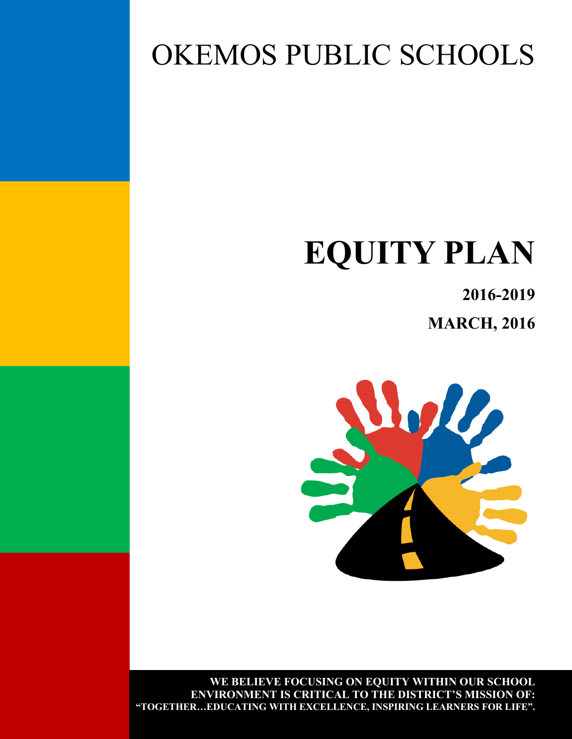# OKEMOS PUBLIC SCHOOLS

# **EQUITY PLAN**

# **2016-2019**

**MARCH, 2016**



**WE BELIEVE FOCUSING ON EQUITY WITHIN OUR SCHOOL ENVIRONMENT IS CRITICAL TO THE DISTRICT'S MISSION OF: "TOGETHER…EDUCATING WITH EXCELLENCE, INSPIRING LEARNERS FOR LIFE".**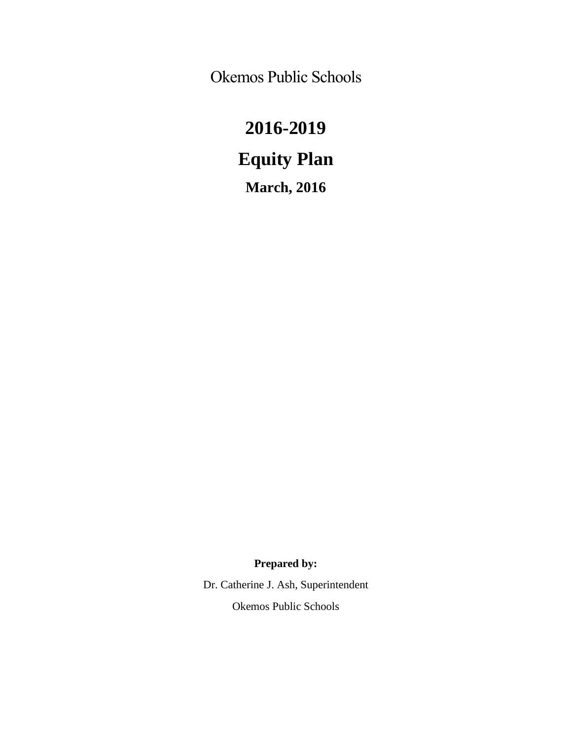Okemos Public Schools

# **2016-2019 Equity Plan March, 2016**

### **Prepared by:**

Dr. Catherine J. Ash, Superintendent Okemos Public Schools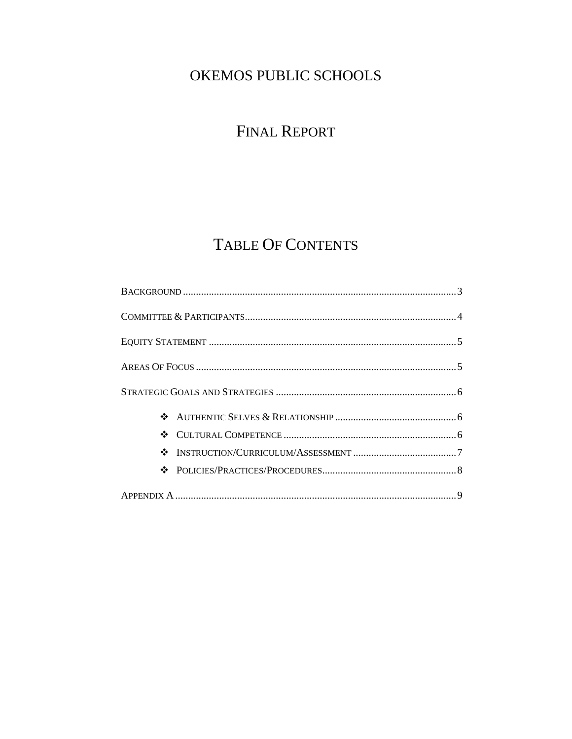# OKEMOS PUBLIC SCHOOLS

# FINAL REPORT

# TABLE OF CONTENTS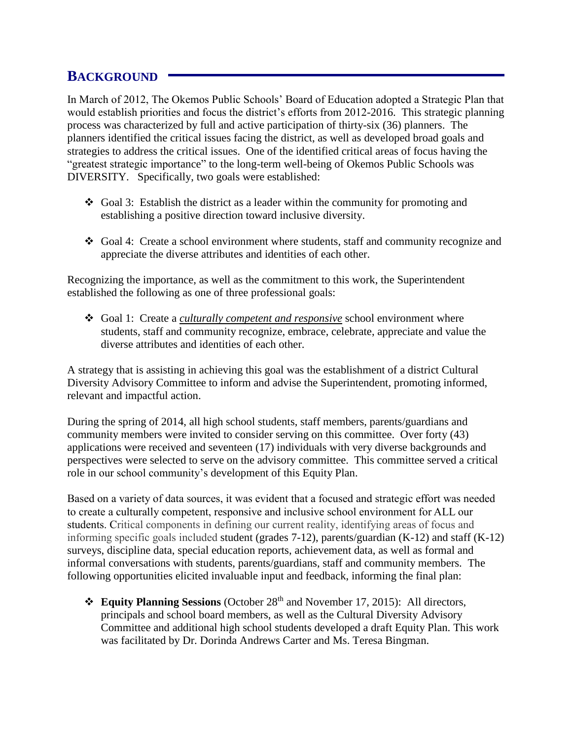# **BACKGROUND**

In March of 2012, The Okemos Public Schools' Board of Education adopted a Strategic Plan that would establish priorities and focus the district's efforts from 2012-2016. This strategic planning process was characterized by full and active participation of thirty-six (36) planners. The planners identified the critical issues facing the district, as well as developed broad goals and strategies to address the critical issues. One of the identified critical areas of focus having the "greatest strategic importance" to the long-term well-being of Okemos Public Schools was DIVERSITY. Specifically, two goals were established:

- $\div$  Goal 3: Establish the district as a leader within the community for promoting and establishing a positive direction toward inclusive diversity.
- Goal 4: Create a school environment where students, staff and community recognize and appreciate the diverse attributes and identities of each other.

Recognizing the importance, as well as the commitment to this work, the Superintendent established the following as one of three professional goals:

 Goal 1: Create a *culturally competent and responsive* school environment where students, staff and community recognize, embrace, celebrate, appreciate and value the diverse attributes and identities of each other.

A strategy that is assisting in achieving this goal was the establishment of a district Cultural Diversity Advisory Committee to inform and advise the Superintendent, promoting informed, relevant and impactful action.

During the spring of 2014, all high school students, staff members, parents/guardians and community members were invited to consider serving on this committee. Over forty (43) applications were received and seventeen (17) individuals with very diverse backgrounds and perspectives were selected to serve on the advisory committee. This committee served a critical role in our school community's development of this Equity Plan.

Based on a variety of data sources, it was evident that a focused and strategic effort was needed to create a culturally competent, responsive and inclusive school environment for ALL our students. Critical components in defining our current reality, identifying areas of focus and informing specific goals included student (grades 7-12), parents/guardian (K-12) and staff (K-12) surveys, discipline data, special education reports, achievement data, as well as formal and informal conversations with students, parents/guardians, staff and community members. The following opportunities elicited invaluable input and feedback, informing the final plan:

**Equity Planning Sessions** (October 28<sup>th</sup> and November 17, 2015): All directors, principals and school board members, as well as the Cultural Diversity Advisory Committee and additional high school students developed a draft Equity Plan. This work was facilitated by Dr. Dorinda Andrews Carter and Ms. Teresa Bingman.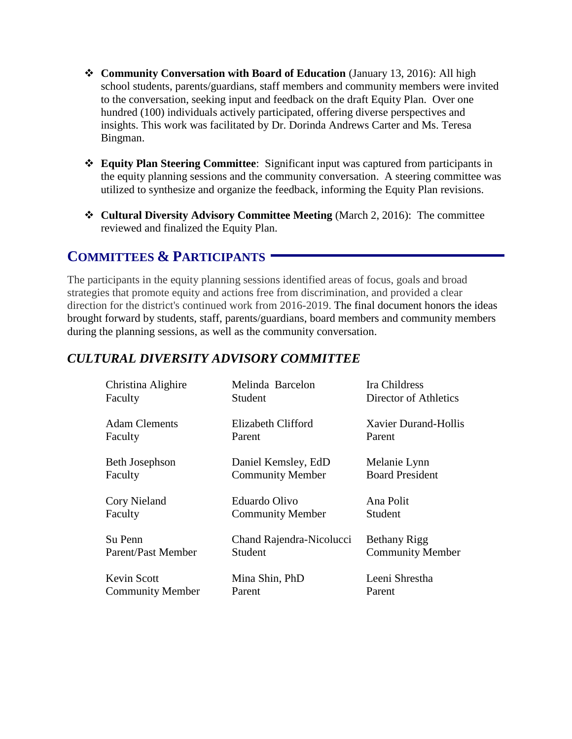- **❖** Community Conversation with Board of Education (January 13, 2016): All high school students, parents/guardians, staff members and community members were invited to the conversation, seeking input and feedback on the draft Equity Plan. Over one hundred (100) individuals actively participated, offering diverse perspectives and insights. This work was facilitated by Dr. Dorinda Andrews Carter and Ms. Teresa Bingman.
- **Equity Plan Steering Committee**: Significant input was captured from participants in the equity planning sessions and the community conversation. A steering committee was utilized to synthesize and organize the feedback, informing the Equity Plan revisions.
- **Cultural Diversity Advisory Committee Meeting** (March 2, 2016): The committee reviewed and finalized the Equity Plan.

# **COMMITTEES & PARTICIPANTS**

The participants in the equity planning sessions identified areas of focus, goals and broad strategies that promote equity and actions free from discrimination, and provided a clear direction for the district's continued work from 2016-2019. The final document honors the ideas brought forward by students, staff, parents/guardians, board members and community members during the planning sessions, as well as the community conversation.

## *CULTURAL DIVERSITY ADVISORY COMMITTEE*

| Christina Alighire      | Melinda Barcelon         | Ira Childress           |
|-------------------------|--------------------------|-------------------------|
| Faculty                 | Student                  | Director of Athletics   |
| <b>Adam Clements</b>    | Elizabeth Clifford       | Xavier Durand-Hollis    |
| Faculty                 | Parent                   | Parent                  |
| <b>Beth Josephson</b>   | Daniel Kemsley, EdD      | Melanie Lynn            |
| Faculty                 | <b>Community Member</b>  | <b>Board President</b>  |
| Cory Nieland            | Eduardo Olivo            | Ana Polit               |
| Faculty                 | <b>Community Member</b>  | Student                 |
| Su Penn                 | Chand Rajendra-Nicolucci | <b>Bethany Rigg</b>     |
| Parent/Past Member      | Student                  | <b>Community Member</b> |
| Kevin Scott             | Mina Shin, PhD           | Leeni Shrestha          |
| <b>Community Member</b> | Parent                   | Parent                  |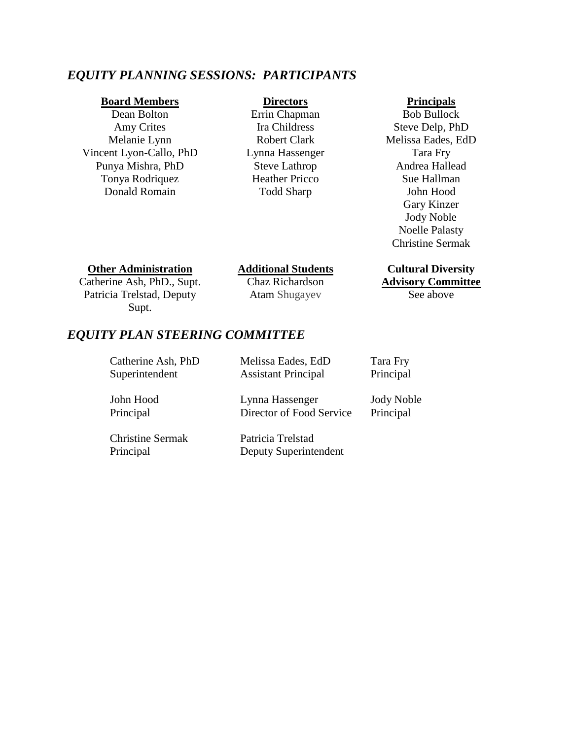#### *EQUITY PLANNING SESSIONS: PARTICIPANTS*

#### **Board Members**

Dean Bolton Amy Crites Melanie Lynn Vincent Lyon-Callo, PhD Punya Mishra, PhD Tonya Rodriquez Donald Romain

**Directors** Errin Chapman Ira Childress Robert Clark Lynna Hassenger Steve Lathrop Heather Pricco Todd Sharp

#### **Principals**

Bob Bullock Steve Delp, PhD Melissa Eades, EdD Tara Fry Andrea Hallead Sue Hallman John Hood Gary Kinzer Jody Noble Noelle Palasty Christine Sermak

#### **Other Administration**

Catherine Ash, PhD., Supt. Patricia Trelstad, Deputy Supt.

#### **Additional Students**

Chaz Richardson Atam Shugayev

#### **Cultural Diversity Advisory Committee**

See above

# *EQUITY PLAN STEERING COMMITTEE*

| Catherine Ash, PhD                   | Melissa Eades, EdD                         | Tara Fry          |
|--------------------------------------|--------------------------------------------|-------------------|
| Superintendent                       | <b>Assistant Principal</b>                 | Principal         |
| John Hood                            | Lynna Hassenger                            | <b>Jody Noble</b> |
| Principal                            | Director of Food Service                   | Principal         |
| <b>Christine Sermak</b><br>Principal | Patricia Trelstad<br>Deputy Superintendent |                   |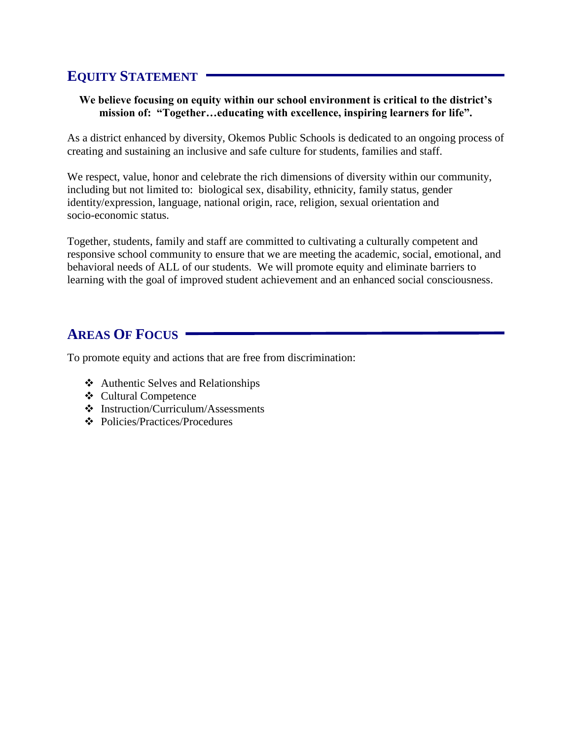# **EQUITY STATEMENT**

#### **We believe focusing on equity within our school environment is critical to the district's mission of: "Together…educating with excellence, inspiring learners for life".**

As a district enhanced by diversity, Okemos Public Schools is dedicated to an ongoing process of creating and sustaining an inclusive and safe culture for students, families and staff.

We respect, value, honor and celebrate the rich dimensions of diversity within our community, including but not limited to: biological sex, disability, ethnicity, family status, gender identity/expression, language, national origin, race, religion, sexual orientation and socio-economic status.

Together, students, family and staff are committed to cultivating a culturally competent and responsive school community to ensure that we are meeting the academic, social, emotional, and behavioral needs of ALL of our students. We will promote equity and eliminate barriers to learning with the goal of improved student achievement and an enhanced social consciousness.

# **AREAS OF FOCUS**

To promote equity and actions that are free from discrimination:

- Authentic Selves and Relationships
- Cultural Competence
- $\triangleleft$  Instruction/Curriculum/Assessments
- Policies/Practices/Procedures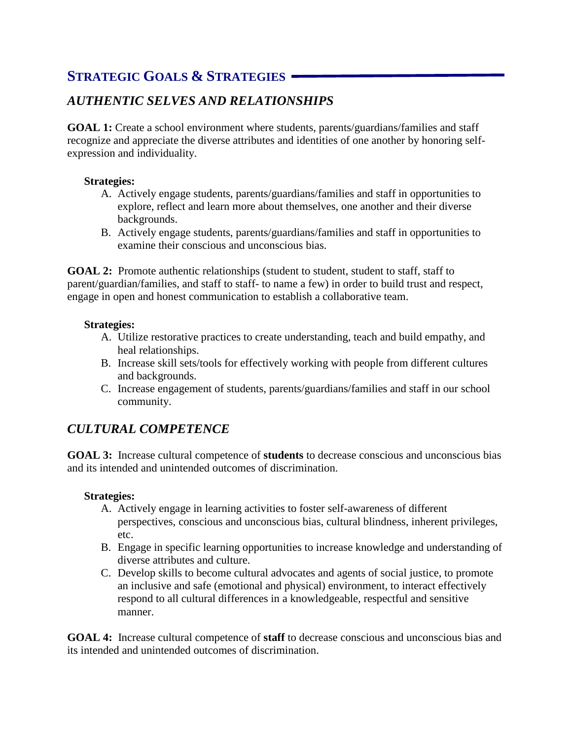# **STRATEGIC GOALS & STRATEGIES**

## *AUTHENTIC SELVES AND RELATIONSHIPS*

**GOAL 1:** Create a school environment where students, parents/guardians/families and staff recognize and appreciate the diverse attributes and identities of one another by honoring selfexpression and individuality.

#### **Strategies:**

- A. Actively engage students, parents/guardians/families and staff in opportunities to explore, reflect and learn more about themselves, one another and their diverse backgrounds.
- B. Actively engage students, parents/guardians/families and staff in opportunities to examine their conscious and unconscious bias.

**GOAL 2:** Promote authentic relationships (student to student, student to staff, staff to parent/guardian/families, and staff to staff- to name a few) in order to build trust and respect, engage in open and honest communication to establish a collaborative team.

#### **Strategies:**

- A. Utilize restorative practices to create understanding, teach and build empathy, and heal relationships.
- B. Increase skill sets/tools for effectively working with people from different cultures and backgrounds.
- C. Increase engagement of students, parents/guardians/families and staff in our school community.

## *CULTURAL COMPETENCE*

**GOAL 3:** Increase cultural competence of **students** to decrease conscious and unconscious bias and its intended and unintended outcomes of discrimination.

#### **Strategies:**

- A. Actively engage in learning activities to foster self-awareness of different perspectives, conscious and unconscious bias, cultural blindness, inherent privileges, etc.
- B. Engage in specific learning opportunities to increase knowledge and understanding of diverse attributes and culture.
- C. Develop skills to become cultural advocates and agents of social justice, to promote an inclusive and safe (emotional and physical) environment, to interact effectively respond to all cultural differences in a knowledgeable, respectful and sensitive manner.

**GOAL 4:** Increase cultural competence of **staff** to decrease conscious and unconscious bias and its intended and unintended outcomes of discrimination.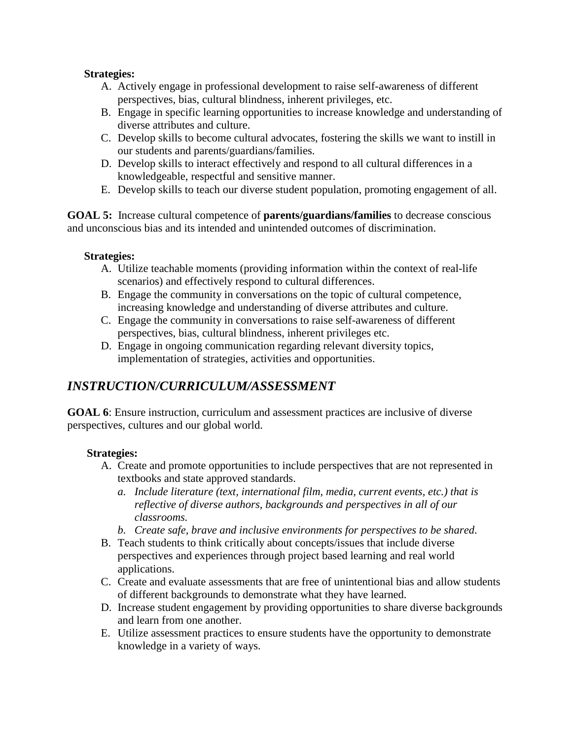#### **Strategies:**

- A. Actively engage in professional development to raise self-awareness of different perspectives, bias, cultural blindness, inherent privileges, etc.
- B. Engage in specific learning opportunities to increase knowledge and understanding of diverse attributes and culture.
- C. Develop skills to become cultural advocates, fostering the skills we want to instill in our students and parents/guardians/families.
- D. Develop skills to interact effectively and respond to all cultural differences in a knowledgeable, respectful and sensitive manner.
- E. Develop skills to teach our diverse student population, promoting engagement of all.

**GOAL 5:** Increase cultural competence of **parents/guardians/families** to decrease conscious and unconscious bias and its intended and unintended outcomes of discrimination.

#### **Strategies:**

- A. Utilize teachable moments (providing information within the context of real-life scenarios) and effectively respond to cultural differences.
- B. Engage the community in conversations on the topic of cultural competence, increasing knowledge and understanding of diverse attributes and culture.
- C. Engage the community in conversations to raise self-awareness of different perspectives, bias, cultural blindness, inherent privileges etc.
- D. Engage in ongoing communication regarding relevant diversity topics, implementation of strategies, activities and opportunities.

## *INSTRUCTION/CURRICULUM/ASSESSMENT*

**GOAL 6**: Ensure instruction, curriculum and assessment practices are inclusive of diverse perspectives, cultures and our global world.

#### **Strategies:**

- A. Create and promote opportunities to include perspectives that are not represented in textbooks and state approved standards.
	- *a. Include literature (text, international film, media, current events, etc.) that is reflective of diverse authors, backgrounds and perspectives in all of our classrooms.*
	- *b. Create safe, brave and inclusive environments for perspectives to be shared.*
- B. Teach students to think critically about concepts/issues that include diverse perspectives and experiences through project based learning and real world applications.
- C. Create and evaluate assessments that are free of unintentional bias and allow students of different backgrounds to demonstrate what they have learned.
- D. Increase student engagement by providing opportunities to share diverse backgrounds and learn from one another.
- E. Utilize assessment practices to ensure students have the opportunity to demonstrate knowledge in a variety of ways.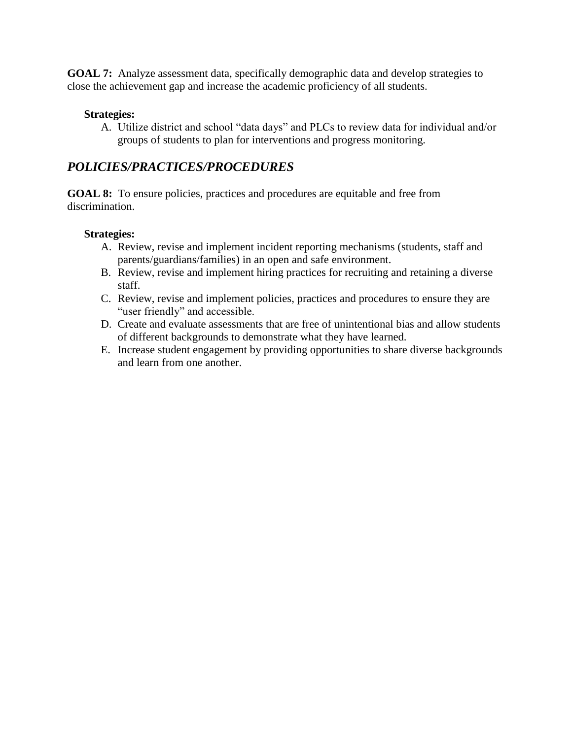**GOAL 7:** Analyze assessment data, specifically demographic data and develop strategies to close the achievement gap and increase the academic proficiency of all students.

#### **Strategies:**

A. Utilize district and school "data days" and PLCs to review data for individual and/or groups of students to plan for interventions and progress monitoring.

### *POLICIES/PRACTICES/PROCEDURES*

**GOAL 8:** To ensure policies, practices and procedures are equitable and free from discrimination.

#### **Strategies:**

- A. Review, revise and implement incident reporting mechanisms (students, staff and parents/guardians/families) in an open and safe environment.
- B. Review, revise and implement hiring practices for recruiting and retaining a diverse staff.
- C. Review, revise and implement policies, practices and procedures to ensure they are "user friendly" and accessible.
- D. Create and evaluate assessments that are free of unintentional bias and allow students of different backgrounds to demonstrate what they have learned.
- E. Increase student engagement by providing opportunities to share diverse backgrounds and learn from one another.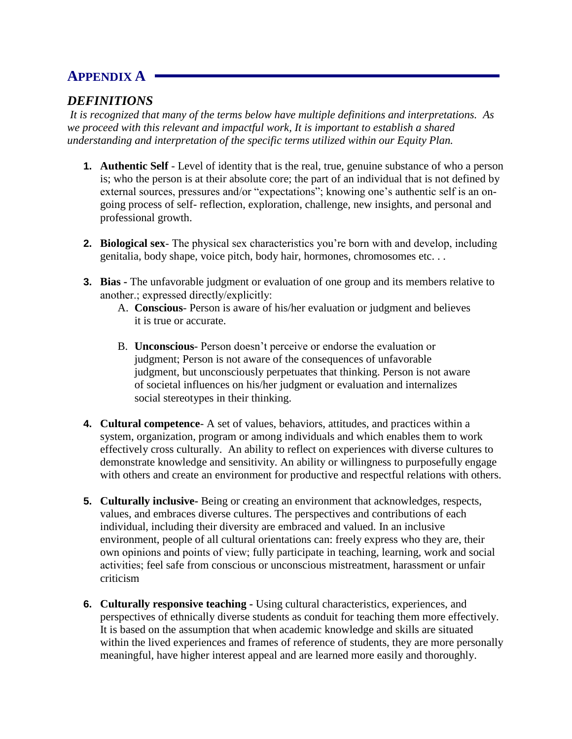# **APPENDIX A**

## *DEFINITIONS*

*It is recognized that many of the terms below have multiple definitions and interpretations. As we proceed with this relevant and impactful work, It is important to establish a shared understanding and interpretation of the specific terms utilized within our Equity Plan.*

- **1. Authentic Self** Level of identity that is the real, true, genuine substance of who a person is; who the person is at their absolute core; the part of an individual that is not defined by external sources, pressures and/or "expectations"; knowing one's authentic self is an ongoing process of self- reflection, exploration, challenge, new insights, and personal and professional growth.
- **2. Biological sex** The physical sex characteristics you're born with and develop, including genitalia, body shape, voice pitch, body hair, hormones, chromosomes etc. . .
- **3. Bias -** The unfavorable judgment or evaluation of one group and its members relative to another.; expressed directly/explicitly:
	- A. **Conscious** Person is aware of his/her evaluation or judgment and believes it is true or accurate.
	- B. **Unconscious** Person doesn't perceive or endorse the evaluation or judgment; Person is not aware of the consequences of unfavorable judgment, but unconsciously perpetuates that thinking. Person is not aware of societal influences on his/her judgment or evaluation and internalizes social stereotypes in their thinking.
- **4. Cultural competence** A set of values, behaviors, attitudes, and practices within a system, organization, program or among individuals and which enables them to work effectively cross culturally. An ability to reflect on experiences with diverse cultures to demonstrate knowledge and sensitivity. An ability or willingness to purposefully engage with others and create an environment for productive and respectful relations with others.
- **5. Culturally inclusive-** Being or creating an environment that acknowledges, respects, values, and embraces diverse cultures. The perspectives and contributions of each individual, including their diversity are embraced and valued. In an inclusive environment, people of all cultural orientations can: freely express who they are, their own opinions and points of view; fully participate in teaching, learning, work and social activities; feel safe from conscious or unconscious mistreatment, harassment or unfair criticism
- **6. Culturally responsive teaching** Using cultural characteristics, experiences, and perspectives of ethnically diverse students as conduit for teaching them more effectively. It is based on the assumption that when academic knowledge and skills are situated within the lived experiences and frames of reference of students, they are more personally meaningful, have higher interest appeal and are learned more easily and thoroughly.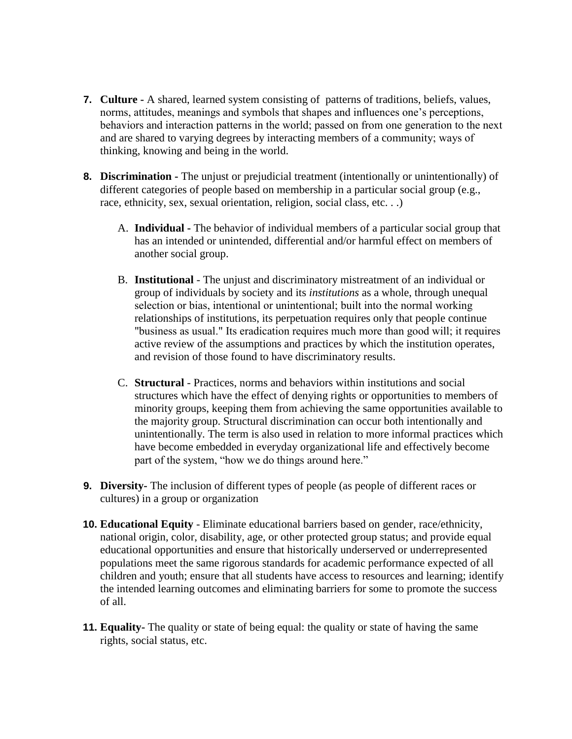- **7. Culture** A shared, learned system consisting of patterns of traditions, beliefs, values, norms, attitudes, meanings and symbols that shapes and influences one's perceptions, behaviors and interaction patterns in the world; passed on from one generation to the next and are shared to varying degrees by interacting members of a community; ways of thinking, knowing and being in the world.
- **8. Discrimination -** The unjust or prejudicial treatment (intentionally or unintentionally) of different categories of people based on membership in a particular social group (e.g., race, ethnicity, sex, sexual orientation, religion, social class, etc. . .)
	- A. **Individual** The behavior of individual members of a particular social group that has an intended or unintended, differential and/or harmful effect on members of another social group.
	- B. **Institutional** The unjust and discriminatory mistreatment of an individual or group of individuals by society and its *institutions* as a whole, through unequal selection or bias, intentional or unintentional; built into the normal working relationships of institutions, its perpetuation requires only that people continue "business as usual." Its eradication requires much more than good will; it requires active review of the assumptions and practices by which the institution operates, and revision of those found to have discriminatory results.
	- C. **Structural**  Practices, norms and behaviors within institutions and social structures which have the effect of denying rights or opportunities to members of minority groups, keeping them from achieving the same opportunities available to the majority group. Structural discrimination can occur both intentionally and unintentionally. The term is also used in relation to more informal practices which have become embedded in everyday organizational life and effectively become part of the system, "how we do things around here."
- **9. Diversity-** The inclusion of different types of people (as people of different races or cultures) in a group or organization
- **10. Educational Equity** Eliminate educational barriers based on gender, race/ethnicity, national origin, color, disability, age, or other protected group status; and provide equal educational opportunities and ensure that historically underserved or underrepresented populations meet the same rigorous standards for academic performance expected of all children and youth; ensure that all students have access to resources and learning; identify the intended learning outcomes and eliminating barriers for some to promote the success of all.
- **11. Equality-** The quality or state of being equal: the quality or state of having the same rights, social status, etc.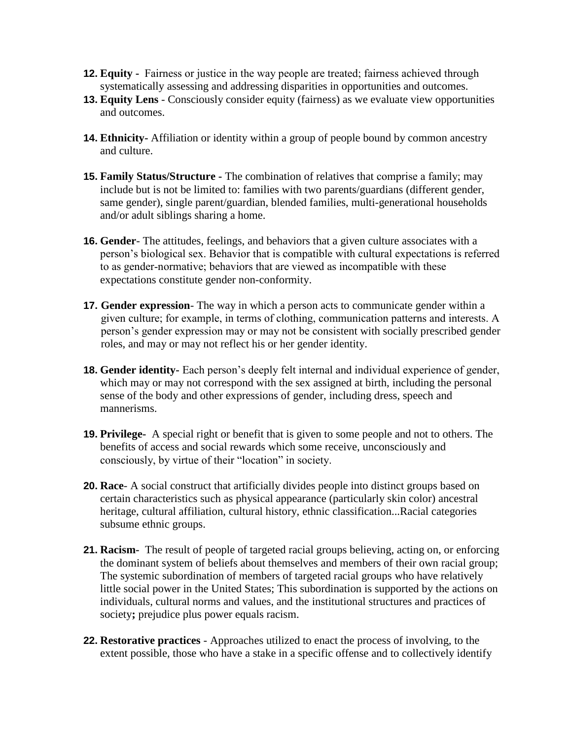- **12. Equity** Fairness or justice in the way people are treated; fairness achieved through systematically assessing and addressing disparities in opportunities and outcomes.
- **13. Equity Lens** Consciously consider equity (fairness) as we evaluate view opportunities and outcomes.
- **14. Ethnicity-** Affiliation or identity within a group of people bound by common ancestry and culture.
- **15. Family Status/Structure -** The combination of relatives that comprise a family; may include but is not be limited to: families with two parents/guardians (different gender, same gender), single parent/guardian, blended families, multi-generational households and/or adult siblings sharing a home.
- **16. Gender** The attitudes, feelings, and behaviors that a given culture associates with a person's biological sex. Behavior that is compatible with cultural expectations is referred to as gender-normative; behaviors that are viewed as incompatible with these expectations constitute gender non-conformity.
- **17. Gender expression** The way in which a person acts to communicate gender within a given culture; for example, in terms of clothing, communication patterns and interests. A person's gender expression may or may not be consistent with socially prescribed gender roles, and may or may not reflect his or her gender identity.
- **18. Gender identity-** Each person's deeply felt internal and individual experience of gender, which may or may not correspond with the sex assigned at birth, including the personal sense of the body and other expressions of gender, including dress, speech and mannerisms.
- **19. Privilege-** A special right or benefit that is given to some people and not to others. The benefits of access and social rewards which some receive, unconsciously and consciously, by virtue of their "location" in society.
- **20. Race** A social construct that artificially divides people into distinct groups based on certain characteristics such as physical appearance (particularly skin color) ancestral heritage, cultural affiliation, cultural history, ethnic classification...Racial categories subsume ethnic groups.
- **21. Racism-** The result of people of targeted racial groups believing, acting on, or enforcing the dominant system of beliefs about themselves and members of their own racial group; The systemic subordination of members of targeted racial groups who have relatively little social power in the United States; This subordination is supported by the actions on individuals, cultural norms and values, and the institutional structures and practices of society**;** prejudice plus power equals racism.
- **22. Restorative practices** Approaches utilized to enact the process of involving, to the extent possible, those who have a stake in a specific offense and to collectively identify